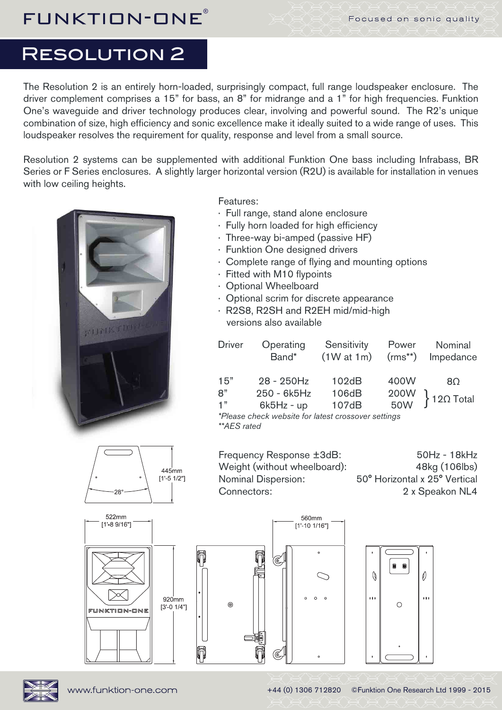## Resolution 2

The Resolution 2 is an entirely horn-loaded, surprisingly compact, full range loudspeaker enclosure. The driver complement comprises a 15" for bass, an 8" for midrange and a 1" for high frequencies. Funktion One's waveguide and driver technology produces clear, involving and powerful sound. The R2's unique combination of size, high efficiency and sonic excellence make it ideally suited to a wide range of uses. This loudspeaker resolves the requirement for quality, response and level from a small source.

Resolution 2 systems can be supplemented with additional Funktion One bass including Infrabass, BR Series or F Series enclosures. A slightly larger horizontal version (R2U) is available for installation in venues with low ceiling heights.



Features:

- · Full range, stand alone enclosure
- · Fully horn loaded for high efficiency
- · Three-way bi-amped (passive HF)
- · Funktion One designed drivers
- · Complete range of flying and mounting options
- · Fitted with M10 flypoints
- · Optional Wheelboard
- · Optional scrim for discrete appearance
- · R2S8, R2SH and R2EH mid/mid-high versions also available

| <b>Driver</b>                                       | Operating<br>Band* | Sensitivity<br>(1W at 1m) | Power<br>$(rms**)$ | Nominal<br>Impedance       |
|-----------------------------------------------------|--------------------|---------------------------|--------------------|----------------------------|
| 15"                                                 | 28 - 250Hz         | 102dB                     | 400W               | 8Ω                         |
| 8"                                                  | 250 - 6k5Hz        | 106dB                     |                    | $\Big\}$ 12 $\Omega$ Total |
| 1"                                                  | $6k5Hz - up$       | 107dB                     | 200W<br>50W        |                            |
| *Plasse check website for latest crossover settings |                    |                           |                    |                            |

*\*Please check website for latest crossover settings \*\*AES rated*

560mm

445mm  $11' - 5$   $1/2"1$ 

Frequency Response ±3dB: Weight (without wheelboard): Nominal Dispersion: Connectors:

50Hz - 18kHz 48kg (106lbs) 50° Horizontal x 25° Vertical 2 x Speakon NL4